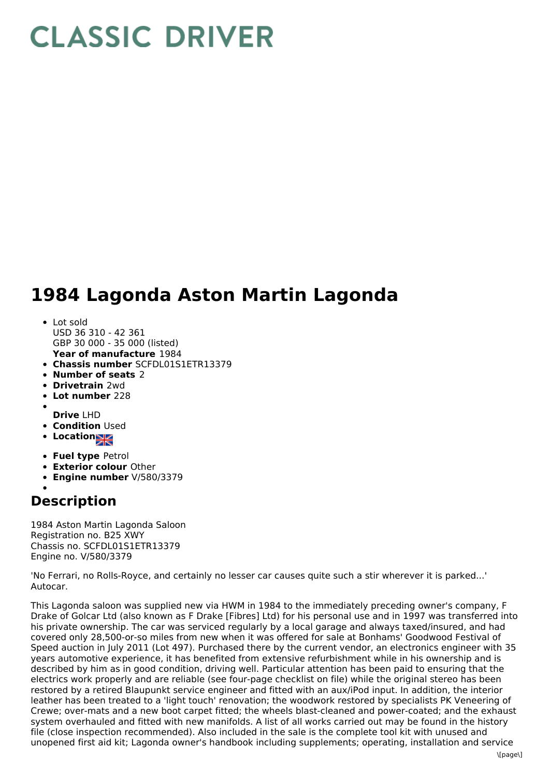## **CLASSIC DRIVER**

## **1984 Lagonda Aston Martin Lagonda**

- **Year of manufacture** 1984 Lot sold USD 36 310 - 42 361 GBP 30 000 - 35 000 (listed)
- **Chassis number** SCFDL01S1ETR13379
- **Number of seats** 2
- **Drivetrain** 2wd
- **Lot number** 228
- 
- **Drive** LHD
- **Condition Used**
- **Location**
- **Fuel type** Petrol
- **Exterior colour** Other
- **Engine number** V/580/3379

## **Description**

1984 Aston Martin Lagonda Saloon Registration no. B25 XWY Chassis no. SCFDL01S1ETR13379 Engine no. V/580/3379

'No Ferrari, no Rolls-Royce, and certainly no lesser car causes quite such a stir wherever it is parked...' Autocar.

This Lagonda saloon was supplied new via HWM in 1984 to the immediately preceding owner's company, F Drake of Golcar Ltd (also known as F Drake [Fibres] Ltd) for his personal use and in 1997 was transferred into his private ownership. The car was serviced regularly by a local garage and always taxed/insured, and had covered only 28,500-or-so miles from new when it was offered for sale at Bonhams' Goodwood Festival of Speed auction in July 2011 (Lot 497). Purchased there by the current vendor, an electronics engineer with 35 years automotive experience, it has benefited from extensive refurbishment while in his ownership and is described by him as in good condition, driving well. Particular attention has been paid to ensuring that the electrics work properly and are reliable (see four-page checklist on file) while the original stereo has been restored by a retired Blaupunkt service engineer and fitted with an aux/iPod input. In addition, the interior leather has been treated to a 'light touch' renovation; the woodwork restored by specialists PK Veneering of Crewe; over-mats and a new boot carpet fitted; the wheels blast-cleaned and power-coated; and the exhaust system overhauled and fitted with new manifolds. A list of all works carried out may be found in the history file (close inspection recommended). Also included in the sale is the complete tool kit with unused and unopened first aid kit; Lagonda owner's handbook including supplements; operating, installation and service